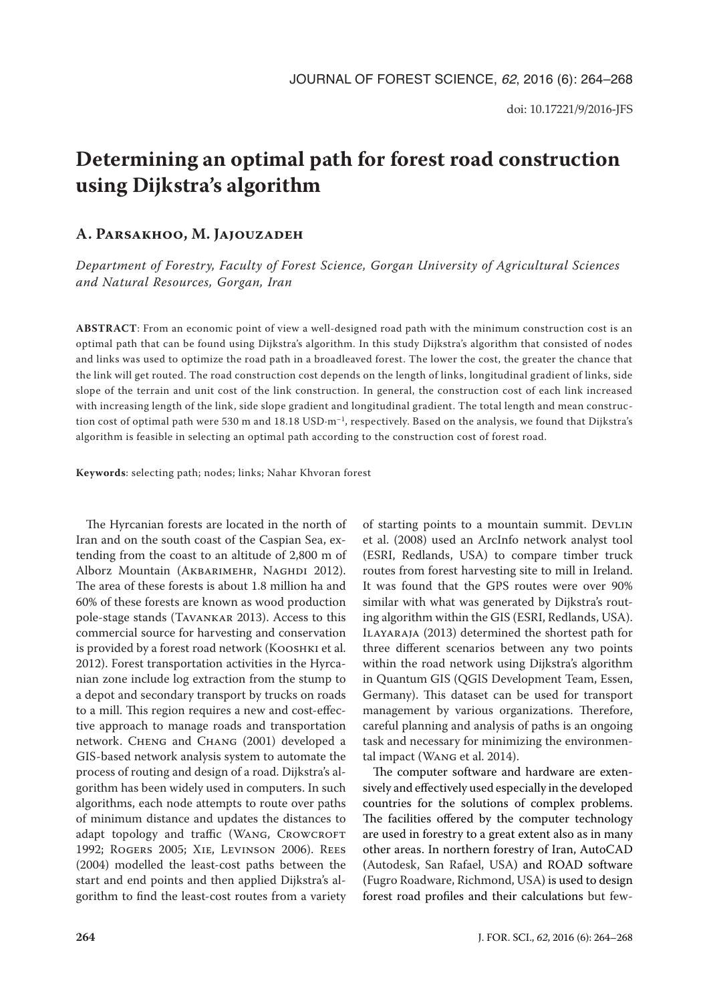# **Determining an optimal path for forest road construction using Dijkstra's algorithm**

# **A. Parsakhoo, M. Jajouzadeh**

*Department of Forestry, Faculty of Forest Science, Gorgan University of Agricultural Sciences and Natural Resources, Gorgan, Iran*

**ABSTRACT**: From an economic point of view a well-designed road path with the minimum construction cost is an optimal path that can be found using Dijkstra's algorithm. In this study Dijkstra's algorithm that consisted of nodes and links was used to optimize the road path in a broadleaved forest. The lower the cost, the greater the chance that the link will get routed. The road construction cost depends on the length of links, longitudinal gradient of links, side slope of the terrain and unit cost of the link construction. In general, the construction cost of each link increased with increasing length of the link, side slope gradient and longitudinal gradient. The total length and mean construction cost of optimal path were 530 m and 18.18 USD $\cdot$ m<sup>-1</sup>, respectively. Based on the analysis, we found that Dijkstra's algorithm is feasible in selecting an optimal path according to the construction cost of forest road.

**Keywords**: selecting path; nodes; links; Nahar Khvoran forest

The Hyrcanian forests are located in the north of Iran and on the south coast of the Caspian Sea, extending from the coast to an altitude of 2,800 m of Alborz Mountain (AKBARIMEHR, NAGHDI 2012). The area of these forests is about 1.8 million ha and 60% of these forests are known as wood production pole-stage stands (Tavankar 2013). Access to this commercial source for harvesting and conservation is provided by a forest road network (Kooshki et al. 2012). Forest transportation activities in the Hyrcanian zone include log extraction from the stump to a depot and secondary transport by trucks on roads to a mill. This region requires a new and cost-effective approach to manage roads and transportation network. Cheng and Chang (2001) developed a GIS-based network analysis system to automate the process of routing and design of a road. Dijkstra's algorithm has been widely used in computers. In such algorithms, each node attempts to route over paths of minimum distance and updates the distances to adapt topology and traffic (WANG, CROWCROFT 1992; Rogers 2005; Xie, Levinson 2006). Rees (2004) modelled the least-cost paths between the start and end points and then applied Dijkstra's algorithm to find the least-cost routes from a variety

of starting points to a mountain summit. DEVLIN et al. (2008) used an ArcInfo network analyst tool (ESRI, Redlands, USA) to compare timber truck routes from forest harvesting site to mill in Ireland. It was found that the GPS routes were over 90% similar with what was generated by Dijkstra's routing algorithm within the GIS (ESRI, Redlands, USA). Ilayaraja (2013) determined the shortest path for three different scenarios between any two points within the road network using Dijkstra's algorithm in Quantum GIS (QGIS Development Team, Essen, Germany). This dataset can be used for transport management by various organizations. Therefore, careful planning and analysis of paths is an ongoing task and necessary for minimizing the environmental impact (Wang et al. 2014).

The computer software and hardware are extensively and effectively used especially in the developed countries for the solutions of complex problems. The facilities offered by the computer technology are used in forestry to a great extent also as in many other areas. In northern forestry of Iran, AutoCAD (Autodesk, San Rafael, USA) and ROAD software (Fugro Roadware, Richmond, USA) is used to design forest road profiles and their calculations but few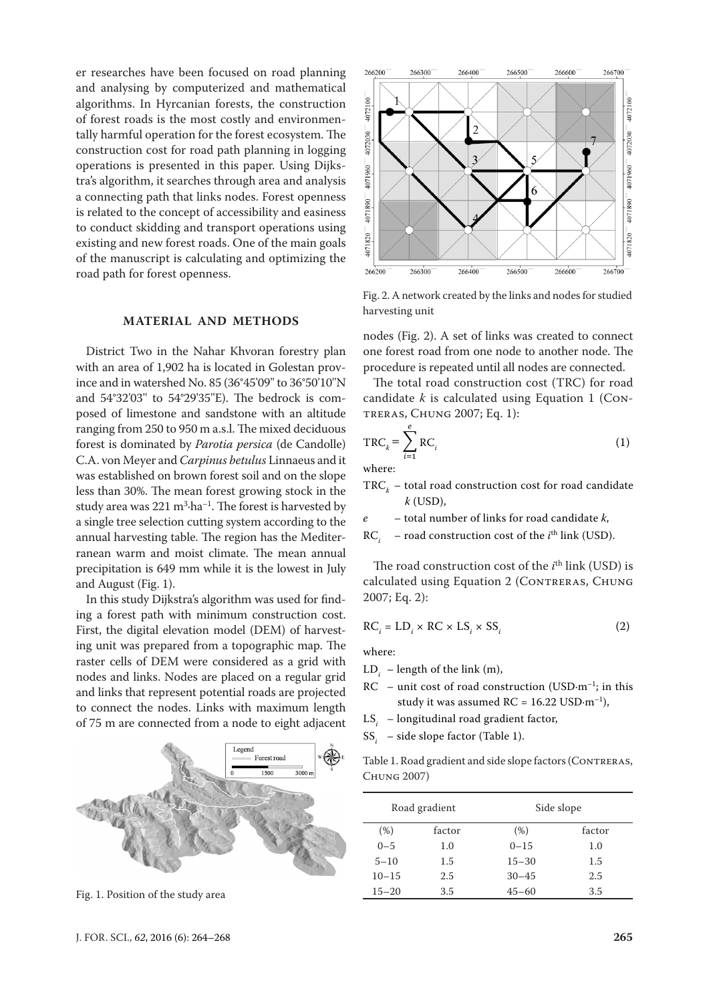er researches have been focused on road planning and analysing by computerized and mathematical algorithms. In Hyrcanian forests, the construction of forest roads is the most costly and environmentally harmful operation for the forest ecosystem. The construction cost for road path planning in logging operations is presented in this paper. Using Dijkstra's algorithm, it searches through area and analysis a connecting path that links nodes. Forest openness is related to the concept of accessibility and easiness to conduct skidding and transport operations using existing and new forest roads. One of the main goals of the manuscript is calculating and optimizing the road path for forest openness.

## **MATERIAL AND METHODS**

District Two in the Nahar Khvoran forestry plan with an area of 1,902 ha is located in Golestan province and in watershed No. 85 (36°45'09'' to 36°50'10''N and 54°32'03'' to 54°29'35''E). The bedrock is composed of limestone and sandstone with an altitude ranging from 250 to 950 m a.s.l. The mixed deciduous forest is dominated by *Parotia persica* (de Candolle) C.A. von Meyer and *Carpinus betulus* Linnaeus and it was established on brown forest soil and on the slope less than 30%. The mean forest growing stock in the study area was  $221 \text{ m}^3 \cdot \text{ha}^{-1}$ . The forest is harvested by a single tree selection cutting system according to the annual harvesting table. The region has the Mediterranean warm and moist climate. The mean annual precipitation is 649 mm while it is the lowest in July and August (Fig. 1).

In this study Dijkstra's algorithm was used for finding a forest path with minimum construction cost. First, the digital elevation model (DEM) of harvesting unit was prepared from a topographic map. The raster cells of DEM were considered as a grid with nodes and links. Nodes are placed on a regular grid and links that represent potential roads are projected to connect the nodes. Links with maximum length of 75 m are connected from a node to eight adjacent



Fig. 1. Position of the study area



Fig. 2. A network created by the links and nodes for studied harvesting unit

nodes (Fig. 2). A set of links was created to connect one forest road from one node to another node. The procedure is repeated until all nodes are connected.

The total road construction cost (TRC) for road candidate  $k$  is calculated using Equation 1 (Contreras, Chung 2007; Eq. 1):

$$
TRC_{k} = \sum_{i=1}^{e} RC_{i}
$$
 (1)

where:

 $\mathrm{TRC}_k$  – total road construction cost for road candidate *k* (USD),

*e* – total number of links for road candidate *k*,

 $RC<sub>i</sub>$  – road construction cost of the *i*<sup>th</sup> link (USD).

The road construction cost of the  $i<sup>th</sup>$  link (USD) is calculated using Equation 2 (CONTRERAS, CHUNG 2007; Eq. 2):

$$
RC_i = LD_i \times RC \times LS_i \times SS_i
$$
 (2)

where:

- LD*<sup>i</sup>* length of the link (m),
- $RC$  unit cost of road construction (USD·m<sup>-1</sup>; in this study it was assumed  $RC = 16.22$  USD $\cdot$ m<sup>-1</sup>),
- LS*<sup>i</sup>* longitudinal road gradient factor,
- SS*<sup>i</sup>* side slope factor (Table 1).

Table 1. Road gradient and side slope factors (CONTRERAS, Chung 2007)

| Road gradient |        | Side slope |        |  |
|---------------|--------|------------|--------|--|
| (% )          | factor | (% )       | factor |  |
| $0 - 5$       | 1.0    | $0 - 15$   | 1.0    |  |
| $5 - 10$      | 1.5    | $15 - 30$  | 1.5    |  |
| $10 - 15$     | 2.5    | $30 - 45$  | 2.5    |  |
| $15 - 20$     | 3.5    | $45 - 60$  | 3.5    |  |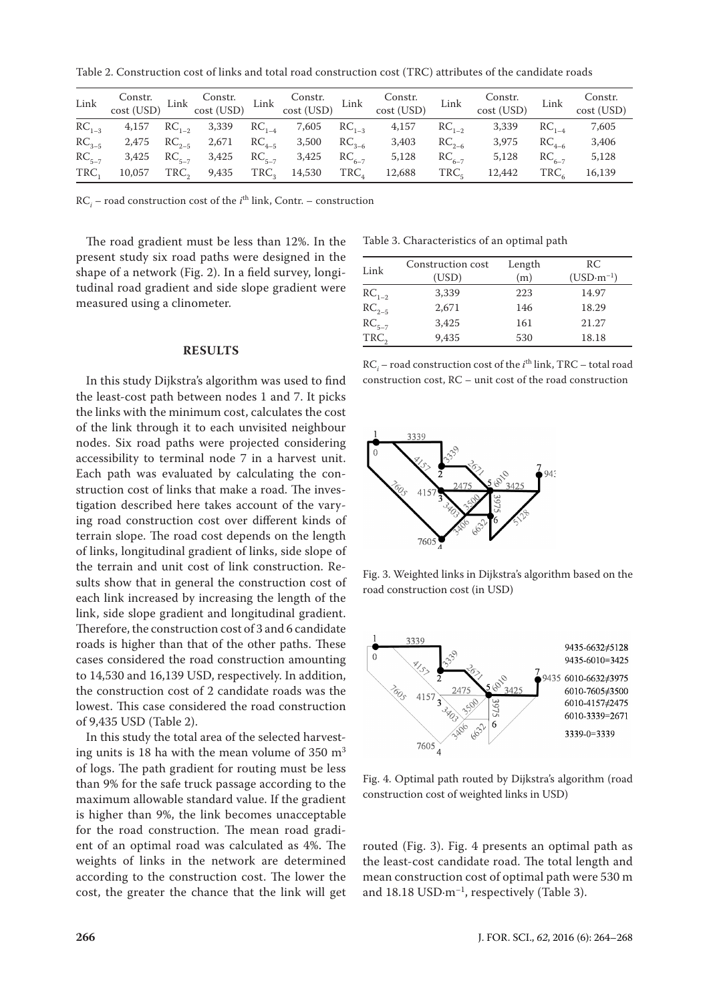Table 2. Construction cost of links and total road construction cost (TRC) attributes of the candidate roads

| Link |                                              |  |                                                               | Constr. Constr. Constr. Constr. Constr. Constr. Constr. cost (USD) Link cost (USD) Link cost (USD) Link cost (USD) Link cost (USD) Link cost (USD) Link cost (USD) Link cost (USD) Link cost (USD) Link cost (USD) Link cost ( |            | Constr.<br>cost (USD) Link                                                                                    |            | Constr.<br>cost (USD) |
|------|----------------------------------------------|--|---------------------------------------------------------------|--------------------------------------------------------------------------------------------------------------------------------------------------------------------------------------------------------------------------------|------------|---------------------------------------------------------------------------------------------------------------|------------|-----------------------|
|      |                                              |  | $RC_{1-3}$ 4,157 $RC_{1-2}$ 3,339 $RC_{1-4}$ 7,605 $RC_{1-3}$ | 4,157 RC <sub>1-2</sub>                                                                                                                                                                                                        |            | 3,339                                                                                                         | $RC_{1-4}$ | 7,605                 |
|      | $RC_{3-5}$ 2,475 $RC_{2-5}$ 2,671 $RC_{4-5}$ |  | 3,500 RC <sub>3-6</sub>                                       | 3,403                                                                                                                                                                                                                          | $RC_{2-6}$ | 3,975                                                                                                         | $RC_{4-6}$ | 3,406                 |
|      |                                              |  | $RC_{5-7}$ 3,425 $RC_{5-7}$ 3,425 $RC_{5-7}$ 3,425 $RC_{6-7}$ | 5,128                                                                                                                                                                                                                          | $RC_{6-7}$ | 5,128                                                                                                         | $RC_{6-7}$ | 5,128                 |
|      |                                              |  |                                                               |                                                                                                                                                                                                                                |            | $TRC_1$ 10,057 TRC, 9,435 TRC, 14,530 TRC <sub>4</sub> 12,688 TRC <sub>5</sub> 12,442 TRC <sub>6</sub> 16,139 |            |                       |

 $RC<sub>i</sub>$  – road construction cost of the *i*<sup>th</sup> link, Contr. – construction

The road gradient must be less than 12%. In the present study six road paths were designed in the shape of a network (Fig. 2). In a field survey, longitudinal road gradient and side slope gradient were measured using a clinometer.

#### **RESULTS**

In this study Dijkstra's algorithm was used to find the least-cost path between nodes 1 and 7. It picks the links with the minimum cost, calculates the cost of the link through it to each unvisited neighbour nodes. Six road paths were projected considering accessibility to terminal node 7 in a harvest unit. Each path was evaluated by calculating the construction cost of links that make a road. The investigation described here takes account of the varying road construction cost over different kinds of terrain slope. The road cost depends on the length of links, longitudinal gradient of links, side slope of the terrain and unit cost of link construction. Results show that in general the construction cost of each link increased by increasing the length of the link, side slope gradient and longitudinal gradient. Therefore, the construction cost of 3 and 6 candidate roads is higher than that of the other paths. These cases considered the road construction amounting to 14,530 and 16,139 USD, respectively. In addition, the construction cost of 2 candidate roads was the lowest. This case considered the road construction of 9,435 USD (Table 2).

In this study the total area of the selected harvesting units is 18 ha with the mean volume of 350  $m<sup>3</sup>$ of logs. The path gradient for routing must be less than 9% for the safe truck passage according to the maximum allowable standard value. If the gradient is higher than 9%, the link becomes unacceptable for the road construction. The mean road gradient of an optimal road was calculated as 4%. The weights of links in the network are determined according to the construction cost. The lower the cost, the greater the chance that the link will get

Table 3. Characteristics of an optimal path

| Link             | Construction cost | Length | RC          |
|------------------|-------------------|--------|-------------|
|                  | (USD)             | (m)    | $(USD·m-1)$ |
| $RC_{1-2}$       | 3,339             | 223    | 14.97       |
| $RC_{2-5}$       | 2,671             | 146    | 18.29       |
| $RC5-7$          | 3,425             | 161    | 21.27       |
| TRC <sub>2</sub> | 9,435             | 530    | 18.18       |

| $RCi$ – road construction cost of the <i>i</i> <sup>th</sup> link, TRC – total road |
|-------------------------------------------------------------------------------------|
| construction cost, $RC$ – unit cost of the road construction                        |



Fig. 3. Weighted links in Dijkstra's algorithm based on the road construction cost (in USD)



Fig. 4. Optimal path routed by Dijkstra's algorithm (road construction cost of weighted links in USD)

routed (Fig. 3). Fig. 4 presents an optimal path as the least-cost candidate road. The total length and mean construction cost of optimal path were 530 m and 18.18 USD·m<sup>-1</sup>, respectively (Table 3).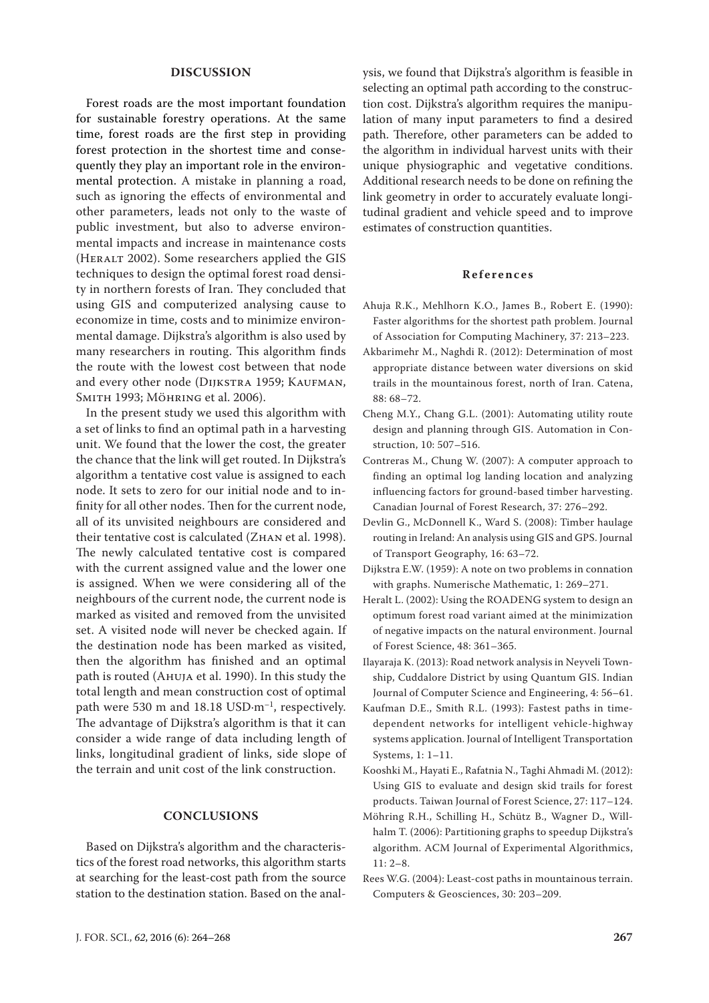### **DISCUSSION**

Forest roads are the most important foundation for sustainable forestry operations. At the same time, forest roads are the first step in providing forest protection in the shortest time and consequently they play an important role in the environmental protection. A mistake in planning a road, such as ignoring the effects of environmental and other parameters, leads not only to the waste of public investment, but also to adverse environmental impacts and increase in maintenance costs (HERALT 2002). Some researchers applied the GIS techniques to design the optimal forest road density in northern forests of Iran. They concluded that using GIS and computerized analysing cause to economize in time, costs and to minimize environmental damage. Dijkstra's algorithm is also used by many researchers in routing. This algorithm finds the route with the lowest cost between that node and every other node (DIJKSTRA 1959; KAUFMAN, Smith 1993; Möhring et al. 2006).

In the present study we used this algorithm with a set of links to find an optimal path in a harvesting unit. We found that the lower the cost, the greater the chance that the link will get routed. In Dijkstra's algorithm a tentative cost value is assigned to each node. It sets to zero for our initial node and to infinity for all other nodes. Then for the current node, all of its unvisited neighbours are considered and their tentative cost is calculated (Zhan et al. 1998). The newly calculated tentative cost is compared with the current assigned value and the lower one is assigned. When we were considering all of the neighbours of the current node, the current node is marked as visited and removed from the unvisited set. A visited node will never be checked again. If the destination node has been marked as visited, then the algorithm has finished and an optimal path is routed (Ahuja et al. 1990). In this study the total length and mean construction cost of optimal path were 530 m and 18.18 USD·m–1, respectively. The advantage of Dijkstra's algorithm is that it can consider a wide range of data including length of links, longitudinal gradient of links, side slope of the terrain and unit cost of the link construction.

### **CONCLUSIONS**

Based on Dijkstra's algorithm and the characteristics of the forest road networks, this algorithm starts at searching for the least-cost path from the source station to the destination station. Based on the analysis, we found that Dijkstra's algorithm is feasible in selecting an optimal path according to the construction cost. Dijkstra's algorithm requires the manipulation of many input parameters to find a desired path. Therefore, other parameters can be added to the algorithm in individual harvest units with their unique physiographic and vegetative conditions. Additional research needs to be done on refining the link geometry in order to accurately evaluate longitudinal gradient and vehicle speed and to improve estimates of construction quantities.

#### **References**

- Ahuja R.K., Mehlhorn K.O., James B., Robert E. (1990): Faster algorithms for the shortest path problem. Journal of Association for Computing Machinery, 37: 213–223.
- Akbarimehr M., Naghdi R. (2012): Determination of most appropriate distance between water diversions on skid trails in the mountainous forest, north of Iran. Catena, 88: 68–72.
- Cheng M.Y., Chang G.L. (2001): Automating utility route design and planning through GIS. Automation in Construction, 10: 507–516.
- Contreras M., Chung W. (2007): A computer approach to finding an optimal log landing location and analyzing influencing factors for ground-based timber harvesting. Canadian Journal of Forest Research, 37: 276–292.
- Devlin G., McDonnell K., Ward S. (2008): Timber haulage routing in Ireland: An analysis using GIS and GPS. Journal of Transport Geography, 16: 63–72.
- Dijkstra E.W. (1959): A note on two problems in connation with graphs. Numerische Mathematic, 1: 269–271.
- Heralt L. (2002): Using the ROADENG system to design an optimum forest road variant aimed at the minimization of negative impacts on the natural environment. Journal of Forest Science, 48: 361–365.
- Ilayaraja K. (2013): Road network analysis in Neyveli Township, Cuddalore District by using Quantum GIS. Indian Journal of Computer Science and Engineering, 4: 56–61.
- Kaufman D.E., Smith R.L. (1993): Fastest paths in timedependent networks for intelligent vehicle-highway systems application. Journal of Intelligent Transportation Systems, 1: 1–11.
- Kooshki M., Hayati E., Rafatnia N., Taghi Ahmadi M. (2012): Using GIS to evaluate and design skid trails for forest products. Taiwan Journal of Forest Science, 27: 117–124.
- Möhring R.H., Schilling H., Schütz B., Wagner D., Willhalm T. (2006): Partitioning graphs to speedup Dijkstra's algorithm. ACM Journal of Experimental Algorithmics, 11: 2–8.
- Rees W.G. (2004): Least-cost paths in mountainous terrain. Computers & Geosciences, 30: 203–209.